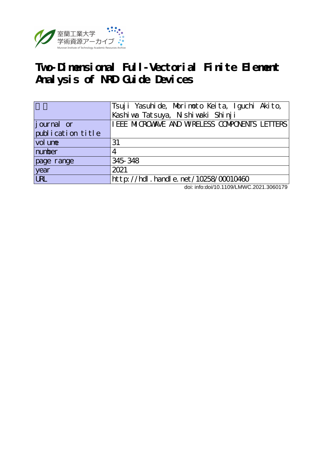

# **Two-Dimensional Full-Vectorial Finite Element Analysis of NRD Guide Devices**

|                   | Tsuji Yasuhide, Morimoto Keita, Iguchi Akito,  |  |  |  |  |
|-------------------|------------------------------------------------|--|--|--|--|
|                   | Kashi wa Tatsuya, Nishi waki Shinji            |  |  |  |  |
| journal or        | I EEE MICROWAVE AND WRELESS COMPONENTS LETTERS |  |  |  |  |
| publication title |                                                |  |  |  |  |
| vol une           | 31                                             |  |  |  |  |
| number            | 4                                              |  |  |  |  |
| page range        | 345 348                                        |  |  |  |  |
| year              | 2021                                           |  |  |  |  |
| $\overline{UR}$   | http://hdl.handle.net/10258/00010460           |  |  |  |  |

doi: info:doi/10.1109/LMWC.2021.3060179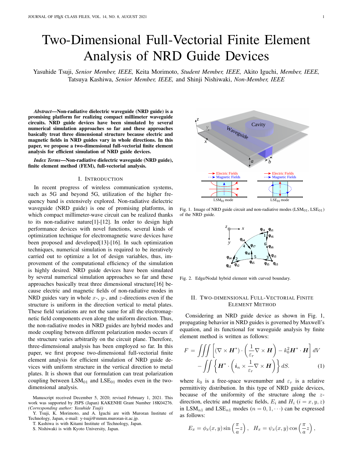# Two-Dimensional Full-Vectorial Finite Element Analysis of NRD Guide Devices

Yasuhide Tsuji, *Senior Member, IEEE,* Keita Morimoto, *Student Member, IEEE,* Akito Iguchi, *Member, IEEE,* Tatsuya Kashiwa, *Senior Member, IEEE,* and Shinji Nishiwaki, *Non-Member, IEEE*

*Abstract*—Non-radiative dielectric waveguide (NRD guide) is a promising platform for realizing compact millimeter waveguide circuits. NRD guide devices have been simulated by several numerical simulation approaches so far and these approaches basically treat three dimensional structure because electric and magnetic fields in NRD guides vary in whole directions. In this paper, we propose a two-dimensional full-vectorial finite element analysis for efficient simulation of NRD guide devices.

*Index Terms*—Non-radiative dielectric waveguide (NRD guide), finite element method (FEM), full-vectorial analysis.

#### I. INTRODUCTION

In recent progress of wireless communication systems, such as 5G and beyond 5G, utilization of the higher frequency band is extensively explored. Non-radiative dielectric waveguide (NRD guide) is one of promising platforms, in which compact millimeter-wave circuit can be realized thanks to its non-radiative nature[1]-[12]. In order to design high performance devices with novel functions, several kinds of optimization technique for electromagnetic wave devices have been proposed and developed[13]-[16]. In such optimization techniques, numerical simulation is required to be iteratively carried out to optimize a lot of design variables, thus, improvement of the computational efficiency of the simulation is highly desired. NRD guide devices have been simulated by several numerical simulation approaches so far and these approaches basically treat three dimensional structure[16] because electric and magnetic fields of non-radiative modes in NRD guides vary in whole *x*-, *y*-, and *z*-directions even if the structure is uniform in the direction vertical to metal plates. These field variations are not the same for all the electromagnetic field components even along the uniform direction. Thus, the non-radiative modes in NRD guides are hybrid modes and mode coupling between different polarization modes occurs if the structure varies arbitrarily on the circuit plane. Therefore, three-dimensional analysis has been employed so far. In this paper, we first propose two-dimensional full-vectorial finite element analysis for efficient simulation of NRD guide devices with uniform structure in the vertical direction to metal plates. It is shown that our formulation can treat polarization coupling between  $LSM<sub>01</sub>$  and  $LSE<sub>01</sub>$  modes even in the twodimensional analysis.



Y. Tsuji, K. Morimoto, and A. Iguchi are with Muroran Institute of Technology, Japan, e-mail: y-tsuji@mmm.muroran-it.ac.jp.



Fig. 1. Image of NRD guide circuit and non-radiative modes  $(LSM<sub>01</sub>, LSE<sub>01</sub>)$ of the NRD guide.



Fig. 2. Edge/Nodal hybrid element with curved boundary.

## II. TWO-DIMENSIONAL FULL-VECTORIAL FINITE ELEMENT METHOD

Considering an NRD guide device as shown in Fig. 1, propagating behavior in NRD guides is governed by Maxwell's equation, and its functional for waveguide analysis by finite element method is written as follows:

$$
F = \iiint \left[ (\nabla \times \mathbf{H}^*) \cdot \left( \frac{1}{\varepsilon_r} \nabla \times \mathbf{H} \right) - k_0^2 \mathbf{H}^* \cdot \mathbf{H} \right] dV
$$

$$
- \iiint \left\{ \mathbf{H}^* \cdot \left( \mathbf{i}_n \times \frac{1}{\varepsilon_r} \nabla \times \mathbf{H} \right) \right\} dS. \tag{1}
$$

where  $k_0$  is a free-space wavenumber and  $\varepsilon_r$  is a relative permittivity distribution. In this type of NRD guide devices, because of the uniformity of the structure along the *z*direction, electric and magnetic fields,  $E_i$  and  $H_i$  ( $i = x, y, z$ ) in LSM<sub>n1</sub> and LSE<sub>n1</sub> modes ( $n = 0, 1, \cdots$ ) can be expressed as follows:

$$
E_x = \phi_x(x, y) \sin\left(\frac{\pi}{a}z\right), \quad H_x = \psi_x(x, y) \cos\left(\frac{\pi}{a}z\right),
$$

T. Kashiwa is with Kitami Institute of Technology, Japan.

S. Nishiwaki is with Kyoto University, Japan.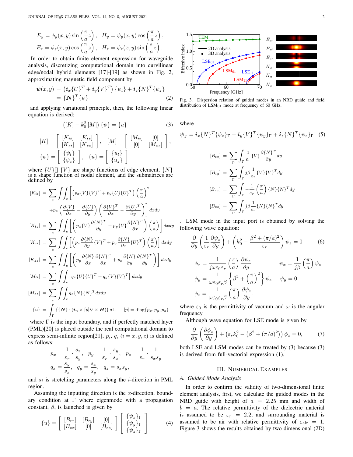$$
E_y = \phi_y(x, y) \sin\left(\frac{\pi}{a}z\right), \quad H_y = \psi_y(x, y) \cos\left(\frac{\pi}{a}z\right),
$$
  

$$
E_z = \phi_z(x, y) \cos\left(\frac{\pi}{a}z\right), \quad H_z = \psi_z(x, y) \sin\left(\frac{\pi}{a}z\right).
$$

In order to obtain finite element expression for waveguide analysis, discretizing computational domain into curvilinear edge/nodal hybrid elements [17]-[19] as shown in Fig. 2, approximating magnetic field component by

$$
\psi(x,y) = (\mathbf{i}_x \{U\}^T + \mathbf{i}_y \{V\}^T) \{\psi_t\} + \mathbf{i}_z \{N\}^T \{\psi_z\}
$$
  
= { $\{N\}^T \{\psi\}$  (2)

and applying variational principle, then, the following linear equation is derived:

$$
([K] - k_0^2 [M]) \{\psi\} = \{u\}
$$
 (3)

$$
[K] = \begin{bmatrix} [K_{tt}] & [K_{tz}] \\ [K_{zt}] & [K_{zz}] \end{bmatrix}, \quad [M] = \begin{bmatrix} [M_{tt}] & [0] \\ [0] & [M_{zz}] \end{bmatrix},
$$
  

$$
\{\psi\} = \begin{bmatrix} \{\psi_t\} \\ \{\psi_z\} \end{bmatrix}, \quad \{u\} = \begin{bmatrix} \{u_t\} \\ \{u_z\} \end{bmatrix}
$$

where  $\{U\}$   $\{V\}$  are shape functions of edge element,  $\{N\}$ is a shape function of nodal element, and the submatrices are defined by

$$
[K_{tt}] = \sum_{e} \int \int_{e} \left[ \left( p_x \{V\} \{V\}^T + p_y \{U\} \{U\}^T \right) \left( \frac{\pi}{a} \right)^2 \right. \left. + p_z \left( \frac{\partial \{V\}}{\partial x} - \frac{\partial \{U\}}{\partial y} \right) \left( \frac{\partial \{V\}^T}{\partial x} - \frac{\partial \{U\}^T}{\partial y} \right) \right] dxdy
$$
\n
$$
[K_{tz}] = \sum_{e} \int \int_{e} \left[ \left( p_x \{V\} \frac{\partial \{N\}^T}{\partial y} + p_y \{U\} \frac{\partial \{N\}^T}{\partial x} \right) \left( \frac{\pi}{a} \right) \right] dxdy
$$
\n
$$
[K_{zt}] = \sum_{e} \int \int_{e} \left[ \left( p_x \frac{\partial \{N\}}{\partial y} \{V\}^T + p_y \frac{\partial \{N\}}{\partial x} \{U\}^T \right) \left( \frac{\pi}{a} \right) \right] dxdy
$$
\n
$$
[K_{zz}] = \sum_{e} \int \int_{e} \left[ \left( p_y \frac{\partial \{N\}}{\partial x} \frac{\partial \{N\}^T}{\partial x} + p_x \frac{\partial \{N\}}{\partial y} \frac{\partial \{N\}^T}{\partial y} \right) \right] dxdy
$$
\n
$$
[M_{tt}] = \sum_{e} \int \int_{e} \left[ q_x \{U\} \{U\}^T + q_y \{V\} \{V\}^T \right] dxdy
$$
\n
$$
[M_{zz}] = \sum_{e} \int \int_{e} q_z \{N\} \{N\}^T dxdy
$$
\n
$$
\{u\} = \int_{\Gamma} \{ \{N\} \cdot (i_n \times [p] \nabla \times H) \} d\Gamma, \quad [p] = \text{diag}\{p_x, p_y, p_z \}
$$

where  $\Gamma$  is the input boundary, and if perfectly matched layer (PML)[20] is placed outside the real computational domain to express semi-infinite region[21],  $p_i$ ,  $q_i$  ( $i = x, y, z$ ) is defined as follows:

$$
p_x = \frac{1}{\varepsilon_r} \cdot \frac{s_x}{s_y}, \quad p_y = \frac{1}{\varepsilon_r} \cdot \frac{s_y}{s_x}, \quad p_z = \frac{1}{\varepsilon_r} \cdot \frac{1}{s_x s_y}
$$

$$
q_x = \frac{s_y}{s_x}, \quad q_y = \frac{s_x}{s_y}, \quad q_z = s_x s_y,
$$

and *s<sup>i</sup>* is stretching parameters along the *i*-direction in PML region.

Assuming the inputting direction is the *x*-direction, boundary condition at Γ where eigenmode with a propagation constant,  $\beta$ , is launched is given by

$$
\{u\} = \left[ \begin{array}{cc} [B_{tx}] & [B_{ty}] & [0] \\ [B_{zx}] & [0] & [B_{zz}] \end{array} \right] \left[ \begin{array}{c} \{\psi_x\}_{\Gamma} \\ \{\psi_y\}_{\Gamma} \\ \{\psi_z\}_{\Gamma} \end{array} \right]
$$
(4)



Fig. 3. Dispersion relation of guided modes in an NRD guide and field distribution of  $LSM<sub>01</sub>$  mode at frequency of 60 GHz.

where

$$
\psi_{\Gamma} = i_x \{N\}^T \{\psi_x\}_{\Gamma} + i_y \{V\}^T \{\psi_y\}_{\Gamma} + i_z \{N\}^T \{\psi_z\}_{\Gamma}
$$
 (5)  

$$
[B_{tx}] = \sum_{\Gamma} \int_{\Gamma} \frac{1}{\varepsilon_r} \{V\} \frac{\partial \{N\}^T}{\partial y} dy
$$

$$
[B_{ty}] = \sum_{\Gamma} \int_{\Gamma} j \beta \frac{1}{\varepsilon_r} \{V\} \{V\}^T dy
$$

$$
[B_{zx}] = \sum_{\Gamma} \int_{\Gamma} -\frac{1}{\varepsilon_r} \left(\frac{\pi}{a}\right) \{N\} \{N\}^T dy
$$

$$
[B_{zz}] = \sum_{\Gamma} \int_{\Gamma} j \beta \frac{1}{\varepsilon_r} \{N\} \{N\}^T dy
$$

. LSM mode in the input port is obtained by solving the following wave equation:

$$
\frac{\partial}{\partial y} \left( \frac{1}{\varepsilon_r} \frac{\partial \psi_z}{\partial y} \right) + \left( k_0^2 - \frac{\beta^2 + (\pi/a)^2}{\varepsilon_r} \right) \psi_z = 0 \qquad (6)
$$

$$
\phi_x = \frac{1}{j \omega \varepsilon_0 \varepsilon_r} \left( \frac{\pi}{a} \right) \frac{\partial \psi_z}{\partial y} \qquad \psi_x = \frac{1}{j \beta} \left( \frac{\pi}{a} \right) \psi_z
$$

$$
\phi_y = \frac{1}{\omega \varepsilon_0 \varepsilon_r \beta} \left\{ \beta^2 + \left( \frac{\pi}{a} \right)^2 \right\} \psi_z \qquad \psi_y = 0
$$

$$
\phi_z = \frac{1}{\omega \varepsilon_0 \varepsilon_r \beta} \left( \frac{\pi}{a} \right) \frac{\partial \psi_z}{\partial y}.
$$

where  $\varepsilon_0$  is the permittivity of vacuum and  $\omega$  is the angular frequency.

Although wave equation for LSE mode is given by

$$
\frac{\partial}{\partial y} \left( \frac{\partial \phi_z}{\partial y} \right) + \left( \varepsilon_r k_0^2 - \left( \beta^2 + (\pi/a)^2 \right) \right) \phi_z = 0, \tag{7}
$$

both LSE and LSM modes can be treated by (3) because (3) is derived from full-vectorial expression (1).

#### III. NUMERICAL EXAMPLES

### *A. Guided Mode Analysis*

In order to confirm the validity of two-dimensional finite element analysis, first, we calculate the guided modes in the NRD guide with height of *a* = 2*.*25 mm and width of  $b = a$ . The relative permittivity of the dielectric material is assumed to be  $\varepsilon_r = 2.2$ , and surrounding material is assumed to be air with relative permittivity of  $\varepsilon_{\text{air}} = 1$ . Figure 3 shows the results obtained by two-dimensional (2D)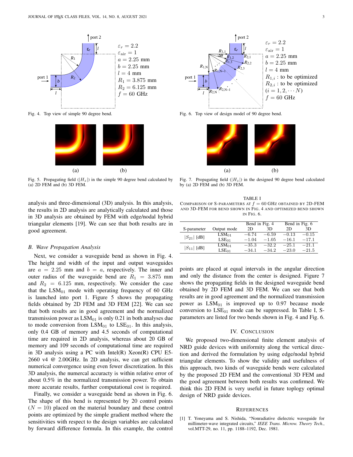

Fig. 4. Top view of simple 90 degree bend.



Fig. 5. Propagating field  $(|H_z|)$  in the simple 90 degree bend calculated by (a) 2D FEM and (b) 3D FEM.

analysis and three-dimensional (3D) analysis. In this analysis, the results in 2D analysis are analytically calculated and those in 3D analysis are obtained by FEM with edge/nodal hybrid triangular elements [19]. We can see that both results are in good agreement.

### *B. Wave Propagation Analysis*

Next, we consider a waveguide bend as shown in Fig. 4. The height and width of the input and output waveguides are  $a = 2.25$  mm and  $b = a$ , respectively. The inner and outer radius of the waveguide bend are  $R_1 = 3.875$  mm and  $R_2 = 6.125$  mm, respectively. We consider the case that the  $LSM<sub>01</sub>$  mode with operating frequency of 60 GHz is launched into port 1. Figure 5 shows the propagating fields obtained by 2D FEM and 3D FEM [22]. We can see that both results are in good agreement and the normalized transmission power as  $LSM<sub>01</sub>$  is only 0.21 in both analyses due to mode conversion from  $LSM_{01}$  to  $LSE_{01}$ . In this analysis, only 0.4 GB of memory and 4.5 seconds of computational time are required in 2D analysis, whereas about 20 GB of memory and 109 seconds of computational time are required in 3D analysis using a PC with Intel(R) Xeon(R) CPU E5- 2660 v4 @ 2.00GHz. In 2D analysis, we can get sufficient numerical convergence using even fewer discretization. In this 3D analysis, the numercal accuracty is within relative error of about 0.5% in the normalized transmission power. To obtain more accurate results, further computational cost is required.

Finally, we consider a waveguide bend as shown in Fig. 6. The shape of this bend is represented by 20 control points  $(N = 10)$  placed on the material boundary and these control points are optimized by the simple gradient method where the sensitivities with respect to the design variables are calculated by forward difference formula. In this example, the control



Fig. 6. Top view of design model of 90 degree bend.



Fig. 7. Propagating field  $(|H_z|)$  in the designed 90 degree bend calculated by (a) 2D FEM and (b) 3D FEM.

TABLE I COMPARISON OF S-PARAMETERS AT  $f = 60$  GHz OBTAINED BY 2D-FEM AND 3D-FEM FOR BEND SHOWN IN FIG. 4 AND OPTIMIZED BEND SHOWN IN FIG. 6.

|                 |                   | Bend in Fig. 4 |         | Bend in Fig. 6 |         |
|-----------------|-------------------|----------------|---------|----------------|---------|
| S-parameter     | Output mode       | 2D             | 3D      | 2D             | 3D      |
| $ S_{21} $ [dB] | $LSM_{01}$        | $-6.74$        | $-6.59$ | $-0.13$        | $-0.15$ |
|                 | LSE <sub>01</sub> | $-1.04$        | $-1.05$ | $-16.1$        | $-17.1$ |
| $ S_{11} $ [dB] | $LSM_{01}$        | $-35.3$        | $-32.2$ | $-25.1$        | $-21.1$ |
|                 | LSE <sub>01</sub> | $-34.1$        | $-34.2$ | $-23.0$        | $-21.5$ |

points are placed at equal intervals in the angular direction and only the distance from the center is designed. Figure 7 shows the propagating fields in the designed waveguide bend obtained by 2D FEM and 3D FEM. We can see that both results are in good agreement and the normalized transmission power as  $LSM<sub>01</sub>$  is improved up to 0.97 because mode conversion to  $LSE_{01}$  mode can be suppressed. In Table I, Sparameters are listed for two bends shown in Fig. 4 and Fig. 6.

#### IV. CONCLUSION

We proposed two-dimensional finite element analysis of NRD guide devices with uniformity along the vertical direction and derived the formulation by using edge/nodal hybrid triangular elements. To show the validity and usefulness of this approach, two kinds of waveguide bends were calculated by the proposed 2D FEM and the conventional 3D FEM and the good agreement between both results was confirmed. We think this 2D FEM is very useful in future toplogy optimal design of NRD guide devices.

#### **REFERENCES**

[1] T. Yoneyama and S. Nishida, "Nonradiative dielectric waveguide for millimeter-wave integrated circuits," *IEEE Trans. Microw. Theory Tech.*, vol.MTT-29, no. 11, pp. 1188–1192, Dec. 1981.